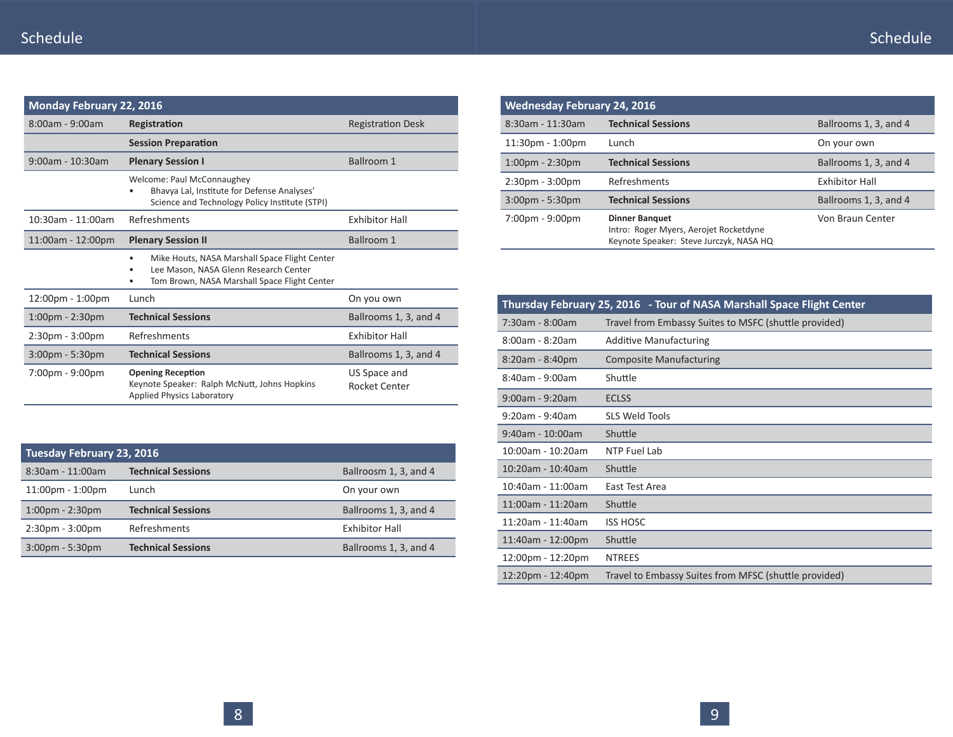| <b>Monday February 22, 2016</b>    |                                                                                                                                                     |                               |
|------------------------------------|-----------------------------------------------------------------------------------------------------------------------------------------------------|-------------------------------|
| $8:00$ am - 9:00am                 | Registration                                                                                                                                        | <b>Registration Desk</b>      |
|                                    | <b>Session Preparation</b>                                                                                                                          |                               |
| $9:00$ am - 10:30am                | Ballroom 1                                                                                                                                          |                               |
|                                    | Welcome: Paul McConnaughey<br>Bhavya Lal, Institute for Defense Analyses'<br>Science and Technology Policy Institute (STPI)                         |                               |
| 10:30am - 11:00am                  | Refreshments                                                                                                                                        | <b>Exhibitor Hall</b>         |
| 11:00am - 12:00pm                  | <b>Plenary Session II</b>                                                                                                                           | Ballroom 1                    |
|                                    | Mike Houts, NASA Marshall Space Flight Center<br>$\bullet$<br>Lee Mason, NASA Glenn Research Center<br>Tom Brown, NASA Marshall Space Flight Center |                               |
| $12:00 \text{pm} - 1:00 \text{pm}$ | Lunch                                                                                                                                               | On you own                    |
| $1:00$ pm - $2:30$ pm              | <b>Technical Sessions</b>                                                                                                                           | Ballrooms 1, 3, and 4         |
| $2:30pm - 3:00pm$                  | Refreshments                                                                                                                                        | <b>Exhibitor Hall</b>         |
| $3:00$ pm - 5:30pm                 | <b>Technical Sessions</b>                                                                                                                           | Ballrooms 1, 3, and 4         |
| $7:00 \text{pm} - 9:00 \text{pm}$  | <b>Opening Reception</b><br>Keynote Speaker: Ralph McNutt, Johns Hopkins<br><b>Applied Physics Laboratory</b>                                       | US Space and<br>Rocket Center |

| Tuesday February 23, 2016          |                           |                       |  |  |  |  |
|------------------------------------|---------------------------|-----------------------|--|--|--|--|
| 8:30am - 11:00am                   | <b>Technical Sessions</b> | Ballroosm 1, 3, and 4 |  |  |  |  |
| $11:00 \text{pm} - 1:00 \text{pm}$ | Lunch                     | On your own           |  |  |  |  |
| $1:00 \text{pm} - 2:30 \text{pm}$  | <b>Technical Sessions</b> | Ballrooms 1, 3, and 4 |  |  |  |  |
| $2:30pm - 3:00pm$                  | Refreshments              | <b>Exhibitor Hall</b> |  |  |  |  |
| $3:00$ pm - 5:30pm                 | <b>Technical Sessions</b> | Ballrooms 1, 3, and 4 |  |  |  |  |

| <b>Wednesday February 24, 2016</b> |                                                                                                            |                       |
|------------------------------------|------------------------------------------------------------------------------------------------------------|-----------------------|
| $8:30$ am - 11:30am                | <b>Technical Sessions</b>                                                                                  | Ballrooms 1, 3, and 4 |
| $11:30pm - 1:00pm$                 | Lunch                                                                                                      | On your own           |
| $1:00 \text{pm} - 2:30 \text{pm}$  | <b>Technical Sessions</b>                                                                                  | Ballrooms 1, 3, and 4 |
| $2:30pm - 3:00pm$                  | Refreshments                                                                                               | <b>Exhibitor Hall</b> |
| $3:00$ pm - 5:30pm                 | <b>Technical Sessions</b>                                                                                  | Ballrooms 1, 3, and 4 |
| $7:00 \text{pm} - 9:00 \text{pm}$  | <b>Dinner Banguet</b><br>Intro: Roger Myers, Aerojet Rocketdyne<br>Keynote Speaker: Steve Jurczyk, NASA HQ | Von Braun Center      |

|                       | Thursday February 25, 2016 - Tour of NASA Marshall Space Flight Center |
|-----------------------|------------------------------------------------------------------------|
| 7:30am - 8:00am       | Travel from Embassy Suites to MSFC (shuttle provided)                  |
| $8:00$ am - $8:20$ am | <b>Additive Manufacturing</b>                                          |
| 8:20am - 8:40pm       | <b>Composite Manufacturing</b>                                         |
| 8:40am - 9:00am       | Shuttle                                                                |
| $9:00$ am - $9:20$ am | <b>ECLSS</b>                                                           |
| $9:20$ am - $9:40$ am | <b>SLS Weld Tools</b>                                                  |
| $9:40$ am - 10:00am   | Shuttle                                                                |
| 10:00am - 10:20am     | NTP Fuel Lab                                                           |
| 10:20am - 10:40am     | Shuttle                                                                |
| 10:40am - 11:00am     | East Test Area                                                         |
| 11:00am - 11:20am     | Shuttle                                                                |
| 11:20am - 11:40am     | <b>ISS HOSC</b>                                                        |
| 11:40am - 12:00pm     | Shuttle                                                                |
| 12:00pm - 12:20pm     | <b>NTREES</b>                                                          |
| 12:20pm - 12:40pm     | Travel to Embassy Suites from MFSC (shuttle provided)                  |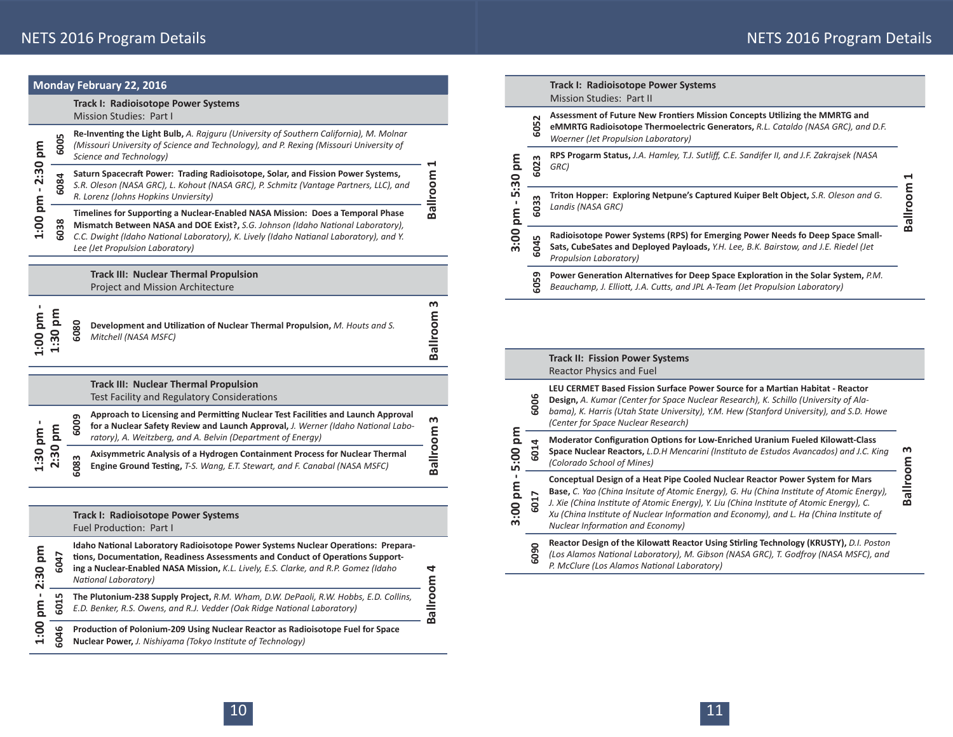**Ballroom 1**

Ballroom

 $\blacksquare$ 

**Ballroom 3**

**Ballroom 3** 

|                                                      |      | <b>Monday February 22, 2016</b>                                                                                                                                                                                                                                                                |                          |    |                         |                                                                                                                                                                                                        | Track I: Radioisotope Power Systems                                                                                                                                                                                                                                    |
|------------------------------------------------------|------|------------------------------------------------------------------------------------------------------------------------------------------------------------------------------------------------------------------------------------------------------------------------------------------------|--------------------------|----|-------------------------|--------------------------------------------------------------------------------------------------------------------------------------------------------------------------------------------------------|------------------------------------------------------------------------------------------------------------------------------------------------------------------------------------------------------------------------------------------------------------------------|
|                                                      |      | Track I: Radioisotope Power Systems<br>Mission Studies: Part I                                                                                                                                                                                                                                 |                          |    |                         |                                                                                                                                                                                                        | <b>Mission Studies: Part II</b><br>Assessment of Future New Frontiers Mission Concepts Utilizing the MMRTG and                                                                                                                                                         |
|                                                      | 6005 | Re-Inventing the Light Bulb, A. Rajguru (University of Southern California), M. Molnar<br>(Missouri University of Science and Technology), and P. Rexing (Missouri University of                                                                                                               |                          |    |                         | 605                                                                                                                                                                                                    | eMMRTG Radioisotope Thermoelectric Generators, R.L. Cataldo (NASA GRC), and D.F.<br><b>Woerner (Jet Propulsion Laboratory)</b>                                                                                                                                         |
| E<br>m<br>J.<br>1:30 pm<br>2:30 pm<br>m<br>md        |      | Science and Technology)<br>Saturn Spacecraft Power: Trading Radioisotope, Solar, and Fission Power Systems,                                                                                                                                                                                    |                          | mq |                         | 6023                                                                                                                                                                                                   | RPS Progarm Status, J.A. Hamley, T.J. Sutliff, C.E. Sandifer II, and J.F. Zakrajsek (NASA<br>GRC)                                                                                                                                                                      |
|                                                      | 6084 | S.R. Oleson (NASA GRC), L. Kohout (NASA GRC), P. Schmitz (Vantage Partners, LLC), and<br>R. Lorenz (Johns Hopkins Unviersity)                                                                                                                                                                  | Ballroom                 |    | 5:30                    | 603                                                                                                                                                                                                    | Triton Hopper: Exploring Netpune's Captured Kuiper Belt Object, S.R. Oleson and G.<br>Landis (NASA GRC)                                                                                                                                                                |
| 1:00                                                 | 6038 | Timelines for Supporting a Nuclear-Enabled NASA Mission: Does a Temporal Phase<br>Mismatch Between NASA and DOE Exist?, S.G. Johnson (Idaho National Laboratory),<br>C.C. Dwight (Idaho National Laboratory), K. Lively (Idaho Natianal Laboratory), and Y.<br>Lee (Jet Propulsion Laboratory) |                          |    | mq<br>3:00              | 6045                                                                                                                                                                                                   | Radioisotope Power Systems (RPS) for Emerging Power Needs fo Deep Space Small-<br>Sats, CubeSates and Deployed Payloads, Y.H. Lee, B.K. Bairstow, and J.E. Riedel (Jet<br>Propulsion Laboratory)                                                                       |
|                                                      |      | <b>Track III: Nuclear Thermal Propulsion</b><br><b>Project and Mission Architecture</b>                                                                                                                                                                                                        |                          |    |                         | 605                                                                                                                                                                                                    | Power Generation Alternatives for Deep Space Exploration in the Solar System, P.M.<br>Beauchamp, J. Elliott, J.A. Cutts, and JPL A-Team (Jet Propulsion Laboratory)                                                                                                    |
| <b>E</b>                                             |      | 6080<br>Development and Utilization of Nuclear Thermal Propulsion, M. Houts and S.<br>Mitchell (NASA MSFC)                                                                                                                                                                                     | m<br>Ballroom            |    |                         |                                                                                                                                                                                                        |                                                                                                                                                                                                                                                                        |
|                                                      |      |                                                                                                                                                                                                                                                                                                |                          |    |                         |                                                                                                                                                                                                        | <b>Track II: Fission Power Systems</b><br><b>Reactor Physics and Fuel</b>                                                                                                                                                                                              |
|                                                      |      | <b>Track III: Nuclear Thermal Propulsion</b><br>Test Facility and Regulatory Considerations                                                                                                                                                                                                    |                          |    |                         | 6006                                                                                                                                                                                                   | LEU CERMET Based Fission Surface Power Source for a Martian Habitat - Reactor<br>Design, A. Kumar (Center for Space Nuclear Research), K. Schillo (University of Ala-                                                                                                  |
|                                                      |      | Approach to Licensing and Permitting Nuclear Test Facilities and Launch Approval<br>െ<br>600<br>for a Nuclear Safety Review and Launch Approval, J. Werner (Idaho National Labo-                                                                                                               | m<br>Ballroom<br>5:00 pm |    |                         | bama), K. Harris (Utah State University), Y.M. Hew (Stanford University), and S.D. Howe<br>(Center for Space Nuclear Research)                                                                         |                                                                                                                                                                                                                                                                        |
| $-2:30$<br>1.00<br>1:30<br>::30 pm<br>$\sim$<br>1:00 |      | ratory), A. Weitzberg, and A. Belvin (Department of Energy)<br>Axisymmetric Analysis of a Hydrogen Containment Process for Nuclear Thermal<br>608<br>Engine Ground Testing, T-S. Wang, E.T. Stewart, and F. Canabal (NASA MSFC)                                                                |                          |    | 6014                    | Moderator Configuration Options for Low-Enriched Uranium Fueled Kilowatt-Class<br>Space Nuclear Reactors, L.D.H Mencarini (Instituto de Estudos Avancados) and J.C. King<br>(Colorado School of Mines) |                                                                                                                                                                                                                                                                        |
|                                                      |      |                                                                                                                                                                                                                                                                                                |                          |    | $\mathbf{I}$<br>3:00 pm | 6017                                                                                                                                                                                                   | Conceptual Design of a Heat Pipe Cooled Nuclear Reactor Power System for Mars<br>Base, C. Yao (China Insitute of Atomic Energy), G. Hu (China Institute of Atomic Energy),<br>J. Xie (China Institute of Atomic Energy), Y. Liu (China Institute of Atomic Energy), C. |
|                                                      |      | Track I: Radioisotope Power Systems<br>Fuel Production: Part I                                                                                                                                                                                                                                 |                          |    |                         |                                                                                                                                                                                                        | Xu (China Institute of Nuclear Information and Economy), and L. Ha (China Institute of<br>Nuclear Information and Economy)                                                                                                                                             |
|                                                      | 6047 | Idaho National Laboratory Radioisotope Power Systems Nuclear Operations: Prepara-<br>tions, Documentation, Readiness Assessments and Conduct of Operations Support-<br>ing a Nuclear-Enabled NASA Mission, K.L. Lively, E.S. Clarke, and R.P. Gomez (Idaho<br>National Laboratory)             | 4                        |    |                         | 6090                                                                                                                                                                                                   | Reactor Design of the Kilowatt Reactor Using Stirling Technology (KRUSTY), D.I. Poston<br>(Los Alamos National Laboratory), M. Gibson (NASA GRC), T. Godfroy (NASA MSFC), and<br>P. McClure (Los Alamos National Laboratory)                                           |
|                                                      | 6015 | The Plutonium-238 Supply Project, R.M. Wham, D.W. DePaoli, R.W. Hobbs, E.D. Collins,<br>E.D. Benker, R.S. Owens, and R.J. Vedder (Oak Ridge National Laboratory)                                                                                                                               | Ballroom                 |    |                         |                                                                                                                                                                                                        |                                                                                                                                                                                                                                                                        |
|                                                      | 6046 | Production of Polonium-209 Using Nuclear Reactor as Radioisotope Fuel for Space<br>Nuclear Power, J. Nishiyama (Tokyo Institute of Technology)                                                                                                                                                 |                          |    |                         |                                                                                                                                                                                                        |                                                                                                                                                                                                                                                                        |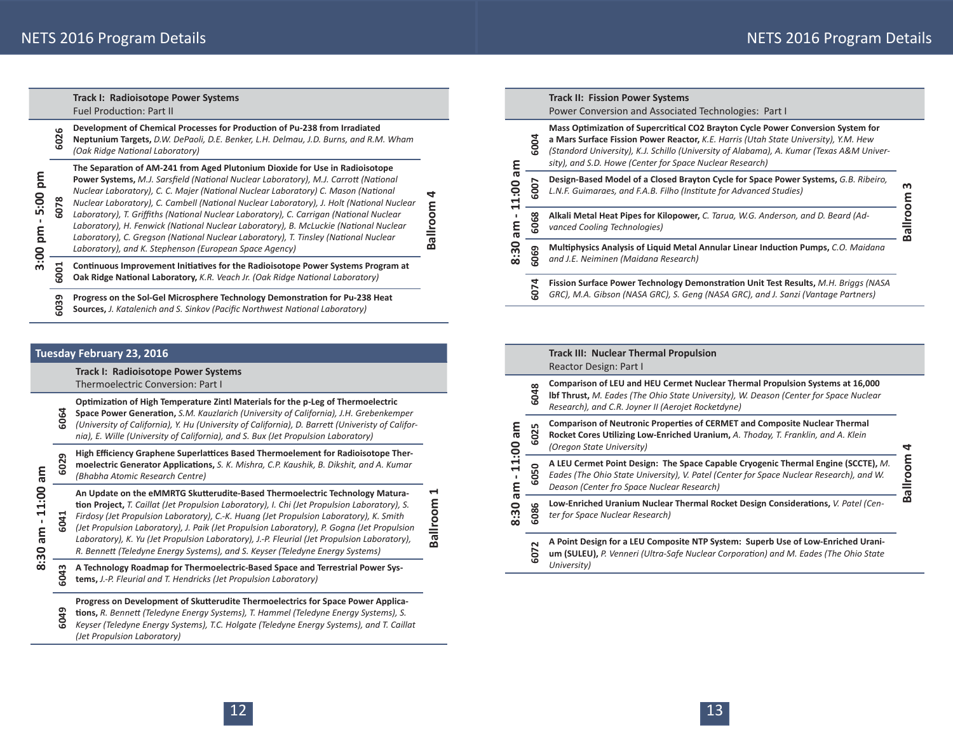|          | <b>Track I: Radioisotope Power Systems</b><br><b>Fuel Production: Part II</b>                                                                                                                                                                                                                                                                                                                                                                                                                                                                                                                                                                                                           |                   |
|----------|-----------------------------------------------------------------------------------------------------------------------------------------------------------------------------------------------------------------------------------------------------------------------------------------------------------------------------------------------------------------------------------------------------------------------------------------------------------------------------------------------------------------------------------------------------------------------------------------------------------------------------------------------------------------------------------------|-------------------|
| ڡ<br>602 | Development of Chemical Processes for Production of Pu-238 from Irradiated<br>Neptunium Targets, D.W. DePaoli, D.E. Benker, L.H. Delmau, J.D. Burns, and R.M. Wham<br>(Oak Ridae National Laboratory)                                                                                                                                                                                                                                                                                                                                                                                                                                                                                   |                   |
| 6078     | The Separation of AM-241 from Aged Plutonium Dioxide for Use in Radioisotope<br>Power Systems, M.J. Sarsfield (National Nuclear Laboratory), M.J. Carrott (National<br>Nuclear Laboratory), C. C. Majer (National Nuclear Laboratory) C. Mason (National<br>Nuclear Laboratory), C. Cambell (National Nuclear Laboratory), J. Holt (National Nuclear<br>Laboratory), T. Griffiths (National Nuclear Laboratory), C. Carrigan (National Nuclear<br>Laboratory), H. Fenwick (National Nuclear Laboratory), B. McLuckie (National Nuclear<br>Laboratory), C. Gregson (National Nuclear Laboratory), T. Tinsley (National Nuclear<br>Laboratory), and K. Stephenson (European Space Agency) | d<br>allroom<br>മ |
| 6001     | Continuous Improvement Initiatives for the Radioisotope Power Systems Program at<br>Oak Ridge National Laboratory, K.R. Veach Jr. (Oak Ridge National Laboratory)                                                                                                                                                                                                                                                                                                                                                                                                                                                                                                                       |                   |
|          |                                                                                                                                                                                                                                                                                                                                                                                                                                                                                                                                                                                                                                                                                         |                   |

**6039** Progress on the Sol-Gel Microsphere Technology Demonstration for Pu-238 Heat Sources, *J. Katalenich and S. Sinkov (Pacific Northwest National Laboratory)* 

#### **Tuesday February 23, 2016**

**8:30 am - 11:00 am**

8:30

am - 11:00 am

**3:00 pm - 5:00 pm**

3:00 pm - 5:00 pm

**Track I: Radioisotope Power Systems**

Thermoelectric Conversion: Part I

**OpƟ mizaƟ on of High Temperature Zintl Materials for the p-Leg of Thermoelectric** 

**6064 Space Power Generation,** S.M. Kauzlarich (University of California), J.H. Grebenkemper *(University of California), Y. Hu (University of California), D. BarreƩ (Univeristy of California), E. Wille (University of California), and S. Bux (Jet Propulsion Laboratory)*

m High Efficiency Graphene Superlattices Based Thermoelement for Radioisotope Thermoelectric Generator Applications, S. K. Mishra, C.P. Kaushik, B. Dikshit, and A. Kumar<br>(Bhabha Atomic Research Centre)

An Update on the eMMRTG Skutterudite-Based Thermoelectric Technology Matura-**Ɵ on Project,** *T. Caillat (Jet Propulsion Laboratory), I. Chi (Jet Propulsion Laboratory), S.* 

**Ballroom 1**

Ballroom

 $\blacktriangleleft$ 

- **6041** *Firdosy (Jet Propulsion Laboratory), C.-K. Huang (Jet Propulsion Laboratory), K. Smith (Jet Propulsion Laboratory), J. Paik (Jet Propulsion Laboratory), P. Gogna (Jet Propulsion Laboratory), K. Yu (Jet Propulsion Laboratory), J.-P. Fleurial (Jet Propulsion Laboratory), R. BenneƩ (Teledyne Energy Systems), and S. Keyser (Teledyne Energy Systems)*
- **6043A Technology Roadmap for Thermoelectric-Based Space and Terrestrial Power Sys- tems,** *J.-P. Fleurial and T. Hendricks (Jet Propulsion Laboratory)*

#### Progress on Development of Skutterudite Thermoelectrics for Space Power Applica-

**6049 Ɵ ons,** *R. BenneƩ (Teledyne Energy Systems), T. Hammel (Teledyne Energy Systems), S. Keyser (Teledyne Energy Systems), T.C. Holgate (Teledyne Energy Systems), and T. Caillat (Jet Propulsion Laboratory)*

|                    |         | <b>Track II: Fission Power Systems</b><br>Power Conversion and Associated Technologies: Part I                                                                                                                                                                                                                                  |          |
|--------------------|---------|---------------------------------------------------------------------------------------------------------------------------------------------------------------------------------------------------------------------------------------------------------------------------------------------------------------------------------|----------|
| me                 | 6004    | Mass Optimization of Supercritical CO2 Brayton Cycle Power Conversion System for<br>a Mars Surface Fission Power Reactor, K.E. Harris (Utah State University), Y.M. Hew<br>(Standord University), K.J. Schillo (University of Alabama), A. Kumar (Texas A&M Univer-<br>sity), and S.D. Howe (Center for Space Nuclear Research) |          |
| 11:00              | 5007    | Design-Based Model of a Closed Brayton Cycle for Space Power Systems, G.B. Ribeiro,<br>L.N.F. Guimaraes, and F.A.B. Filho (Institute for Advanced Studies)                                                                                                                                                                      | m        |
| <u>ក្ខ</u><br>8:30 | 6068    | Alkali Metal Heat Pipes for Kilopower, C. Tarua, W.G. Anderson, and D. Beard (Ad-<br>vanced Cooling Technologies)                                                                                                                                                                                                               | Ballroom |
|                    | 069     | Multiphysics Analysis of Liquid Metal Annular Linear Induction Pumps, C.O. Maidana<br>and J.E. Neiminen (Maidana Research)                                                                                                                                                                                                      |          |
|                    | 74<br>႙ | Fission Surface Power Technology Demonstration Unit Test Results, M.H. Briggs (NASA<br>GRC), M.A. Gibson (NASA GRC), S. Geng (NASA GRC), and J. Sanzi (Vantage Partners)                                                                                                                                                        |          |

|                                         |                                                                                                                                                                                                             | <b>Track III: Nuclear Thermal Propulsion</b><br>Reactor Design: Part I                                                                                                                                                              |         |
|-----------------------------------------|-------------------------------------------------------------------------------------------------------------------------------------------------------------------------------------------------------------|-------------------------------------------------------------------------------------------------------------------------------------------------------------------------------------------------------------------------------------|---------|
| Ξ<br>11:00<br>m<br>$\frac{20}{30}$<br>ထ | 6048                                                                                                                                                                                                        | Comparison of LEU and HEU Cermet Nuclear Thermal Propulsion Systems at 16,000<br><b>Ibf Thrust, M. Eades (The Ohio State University), W. Deason (Center for Space Nuclear</b><br>Research), and C.R. Joyner II (Aerojet Rocketdyne) |         |
|                                         | <b>Comparison of Neutronic Properties of CERMET and Composite Nuclear Thermal</b><br>6025<br>Rocket Cores Utilizing Low-Enriched Uranium, A. Thoday, T. Franklin, and A. Klein<br>(Oregon State University) |                                                                                                                                                                                                                                     | J       |
|                                         | 6050                                                                                                                                                                                                        | A LEU Cermet Point Design: The Space Capable Cryogenic Thermal Engine (SCCTE), M.<br>Eades (The Ohio State University), V. Patel (Center for Space Nuclear Research), and W.<br>Deason (Center fro Space Nuclear Research)          | mooulle |
|                                         | 6086                                                                                                                                                                                                        | Low-Enriched Uranium Nuclear Thermal Rocket Design Considerations, V. Patel (Cen-<br>ter for Space Nuclear Research)                                                                                                                | œ       |
|                                         | 6072                                                                                                                                                                                                        | A Point Design for a LEU Composite NTP System: Superb Use of Low-Enriched Urani-<br>um (SULEU), P. Venneri (Ultra-Safe Nuclear Corporation) and M. Eades (The Ohio State<br>University)                                             |         |

2 and  $\overline{13}$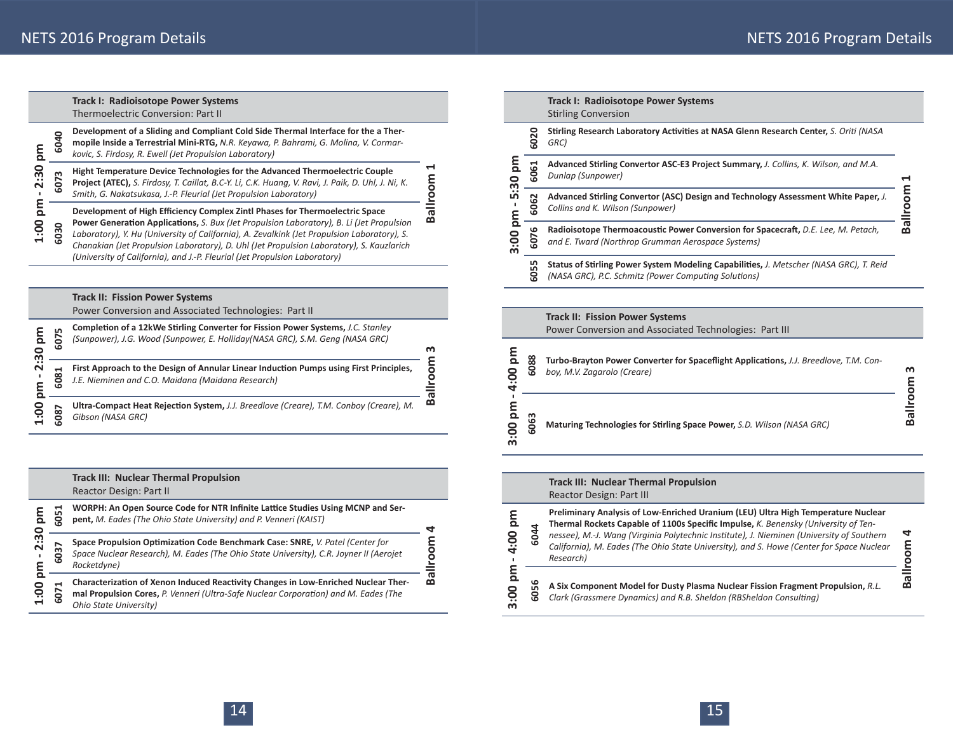|                         |                                                                                                                                                                                                                                                                             | <b>Track I: Radioisotope Power Systems</b><br>Thermoelectric Conversion: Part II                                                                                                                                                                                                                                                                                                                                                                  |         |
|-------------------------|-----------------------------------------------------------------------------------------------------------------------------------------------------------------------------------------------------------------------------------------------------------------------------|---------------------------------------------------------------------------------------------------------------------------------------------------------------------------------------------------------------------------------------------------------------------------------------------------------------------------------------------------------------------------------------------------------------------------------------------------|---------|
| 툐<br>2:30<br>mq<br>00:1 | 6040                                                                                                                                                                                                                                                                        | Development of a Sliding and Compliant Cold Side Thermal Interface for the a Ther-<br>mopile Inside a Terrestrial Mini-RTG, N.R. Keyawa, P. Bahrami, G. Molina, V. Cormar-<br>kovic, S. Firdosy, R. Ewell (Jet Propulsion Laboratory)                                                                                                                                                                                                             |         |
|                         | ᆸ<br>Hight Temperature Device Technologies for the Advanced Thermoelectric Couple<br>m<br>등<br>5<br>Project (ATEC), S. Firdosy, T. Caillat, B.C-Y. Li, C.K. Huang, V. Ravi, J. Paik, D. Uhl, J. Ni, K.<br>Smith, G. Nakatsukasa, J.-P. Fleurial (Jet Propulsion Laboratory) |                                                                                                                                                                                                                                                                                                                                                                                                                                                   |         |
|                         | 030                                                                                                                                                                                                                                                                         | Development of High Efficiency Complex Zintl Phases for Thermoelectric Space<br>Power Generation Applications, S. Bux (Jet Propulsion Laboratory), B. Li (Jet Propulsion<br>Laboratory), Y. Hu (University of California), A. Zevalkink (Jet Propulsion Laboratory), S.<br>Chanakian (Jet Propulsion Laboratory), D. Uhl (Jet Propulsion Laboratory), S. Kauzlarich<br>(University of California), and J.-P. Fleurial (Jet Propulsion Laboratory) | ᠊ᢐ<br>œ |
|                         |                                                                                                                                                                                                                                                                             |                                                                                                                                                                                                                                                                                                                                                                                                                                                   |         |

## **Track II: Fission Power Systems**

Power Conversion and Associated Technologies: Part II

| E<br>0<br>m<br>$\bullet\bullet$<br>$\sim$ | L٨<br>$\sim$  | Completion of a 12kWe Stirling Converter for Fission Power Systems, J.C. Stanley<br>(Sunpower), J.G. Wood (Sunpower, E. Holliday(NASA GRC), S.M. Geng (NASA GRC) | ന      |
|-------------------------------------------|---------------|------------------------------------------------------------------------------------------------------------------------------------------------------------------|--------|
|                                           | œ<br>ه        | First Approach to the Design of Annular Linear Induction Pumps using First Principles,<br>J.E. Nieminen and C.O. Maidana (Maidana Research)                      | ➤<br>w |
| ĕ                                         | ∼<br>$\infty$ | Ultra-Compact Heat Rejection System, J.J. Breedlove (Creare), T.M. Conbov (Creare), M.<br>Gibson (NASA GRC)                                                      | ≃      |

|                         |              | <b>Track III: Nuclear Thermal Propulsion</b><br>Reactor Design: Part II                                                                                                                             |        |
|-------------------------|--------------|-----------------------------------------------------------------------------------------------------------------------------------------------------------------------------------------------------|--------|
| ξ.<br>2:30<br>ε<br>1:00 | 051          | WORPH: An Open Source Code for NTR Infinite Lattice Studies Using MCNP and Ser-<br>pent, M. Eades (The Ohio State University) and P. Venneri (KAIST)                                                |        |
|                         | ↖<br>w       | Space Propulsion Optimization Code Benchmark Case: SNRE, V. Patel (Center for<br>Space Nuclear Research), M. Eades (The Ohio State University), C.R. Joyner II (Aerojet<br>Rocketdyne)              |        |
|                         | ᆗ<br>ΘÓ<br>ശ | Characterization of Xenon Induced Reactivity Changes in Low-Enriched Nuclear Ther-<br>mal Propulsion Cores, P. Venneri (Ultra-Safe Nuclear Corporation) and M. Eades (The<br>Ohio State University) | ത<br>മ |

|                |          | <b>Track I: Radioisotope Power Systems</b><br><b>Stirling Conversion</b>                                                                       |        |
|----------------|----------|------------------------------------------------------------------------------------------------------------------------------------------------|--------|
|                | 6020     | Stirling Research Laboratory Activities at NASA Glenn Research Center, S. Oriti (NASA<br>GRC)                                                  |        |
| စ္ပ            | 6061     | Advanced Stirling Convertor ASC-E3 Project Summary, J. Collins, K. Wilson, and M.A.<br>Dunlap (Sunpower)                                       |        |
| ഥ<br><u>mg</u> | 6062     | Advanced Stirling Convertor (ASC) Design and Technology Assessment White Paper, J.<br>Collins and K. Wilson (Sunpower)                         | room   |
| $\frac{8}{3}$  | ڡ<br>507 | Radioisotope Thermoacoustic Power Conversion for Spacecraft, D.E. Lee, M. Petach,<br>and E. Tward (Northrop Grumman Aerospace Systems)         | ā<br>മ |
|                | 6055     | Status of Stirling Power System Modeling Capabilities, J. Metscher (NASA GRC), T. Reid<br>(NASA GRC), P.C. Schmitz (Power Computing Solutions) |        |

# **Track II: Fission Power Systems**

 $\overline{\phantom{0}}$ 

Power Conversion and Associated Technologies: Part III

| Q | 88<br>ເດ | Turbo-Brayton Power Converter for Spaceflight Applications, J.J. Breedlove, T.M. Con-<br>boy, M.V. Zagarolo (Creare) | m |
|---|----------|----------------------------------------------------------------------------------------------------------------------|---|
|   | ڡ<br>م   | Maturing Technologies for Stirling Space Power, S.D. Wilson (NASA GRC)                                               |   |

#### **Track III: Nuclear Thermal Propulsion** Reactor Design: Part III

| $\Omega$<br>4:00 | ١O | Preliminary Analysis of Low-Enriched Uranium (LEU) Ultra High Temperature Nuclear<br>Thermal Rockets Capable of 1100s Specific Impulse, K. Benensky (University of Ten-<br>nessee), M.-J. Wang (Virginia Polytechnic Institute), J. Nieminen (University of Southern<br>California), M. Eades (The Ohio State University), and S. Howe (Center for Space Nuclear<br>Research) | 4<br>٤ |
|------------------|----|-------------------------------------------------------------------------------------------------------------------------------------------------------------------------------------------------------------------------------------------------------------------------------------------------------------------------------------------------------------------------------|--------|
| ო                | ເດ | A Six Component Model for Dusty Plasma Nuclear Fission Fragment Propulsion, R.L.<br>Clark (Grassmere Dynamics) and R.B. Sheldon (RBSheldon Consulting)                                                                                                                                                                                                                        | ᠭᠣ     |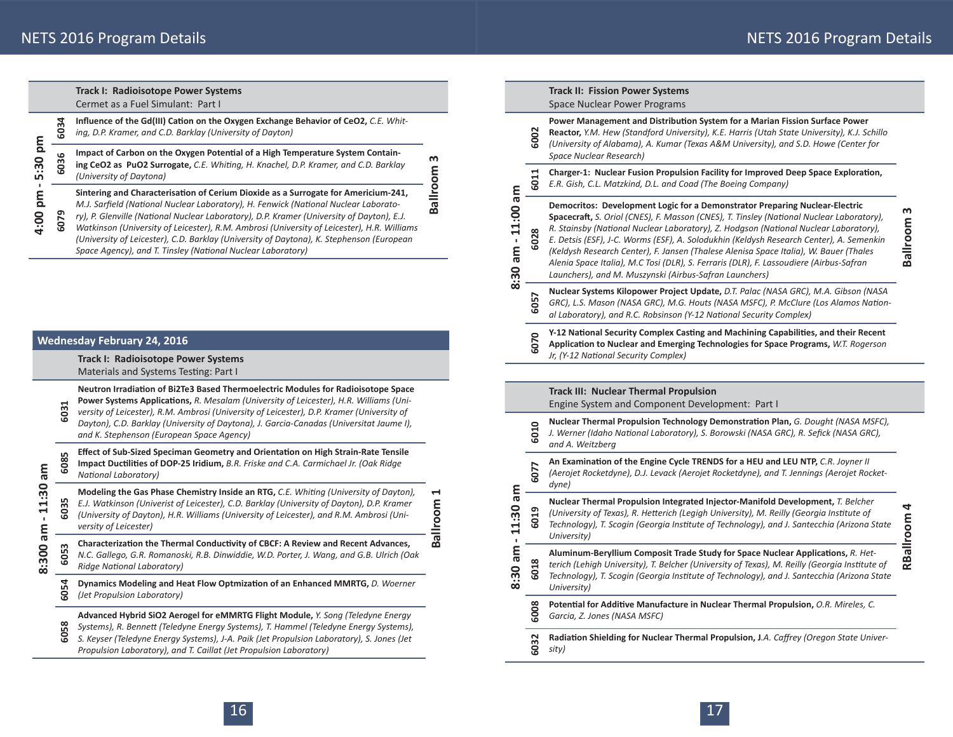# **Track I: Radioisotope Power Systems**

Cermet as a Fuel Simulant: Part I

| စ္ပ<br>ம<br>ma<br>4:00 | 6034     | Influence of the Gd(III) Cation on the Oxygen Exchange Behavior of CeO2, C.E. Whit-<br>ing, D.P. Kramer, and C.D. Barklay (University of Dayton)                                                                                                                                                                                                                                                                                                                                                                                |        |
|------------------------|----------|---------------------------------------------------------------------------------------------------------------------------------------------------------------------------------------------------------------------------------------------------------------------------------------------------------------------------------------------------------------------------------------------------------------------------------------------------------------------------------------------------------------------------------|--------|
|                        | ڡ<br>503 | Impact of Carbon on the Oxygen Potential of a High Temperature System Contain-<br>ing CeO2 as PuO2 Surrogate, C.E. Whiting, H. Knachel, D.P. Kramer, and C.D. Barklay<br>(University of Daytona)                                                                                                                                                                                                                                                                                                                                | m<br>ō |
|                        | 6079     | Sintering and Characterisation of Cerium Dioxide as a Surrogate for Americium-241,<br>M.J. Sarfield (National Nuclear Laboratory), H. Fenwick (National Nuclear Laborato-<br>ry), P. Glenville (National Nuclear Laboratory), D.P. Kramer (University of Dayton), E.J.<br>Watkinson (University of Leicester), R.M. Ambrosi (University of Leicester), H.R. Williams<br>(University of Leicester), C.D. Barklay (University of Daytona), K. Stephenson (European<br>Space Agency), and T. Tinsley (National Nuclear Laboratory) | ĕ      |
|                        |          |                                                                                                                                                                                                                                                                                                                                                                                                                                                                                                                                 |        |

|                             | <b>Wednesday February 24, 2016</b> |                                                                                                                                                                                                                                                                                                                                                                                                                 |               |
|-----------------------------|------------------------------------|-----------------------------------------------------------------------------------------------------------------------------------------------------------------------------------------------------------------------------------------------------------------------------------------------------------------------------------------------------------------------------------------------------------------|---------------|
|                             |                                    | Track I: Radioisotope Power Systems<br>Materials and Systems Testing: Part I                                                                                                                                                                                                                                                                                                                                    |               |
|                             | $\blacktriangleright$<br>603       | Neutron Irradiation of Bi2Te3 Based Thermoelectric Modules for Radioisotope Space<br>Power Systems Applications, R. Mesalam (University of Leicester), H.R. Williams (Uni-<br>versity of Leicester), R.M. Ambrosi (University of Leicester), D.P. Kramer (University of<br>Dayton), C.D. Barklay (University of Daytona), J. Garcia-Canadas (Universitat Jaume I),<br>and K. Stephenson (European Space Agency) |               |
| me                          | 6085                               | Effect of Sub-Sized Speciman Geometry and Orientation on High Strain-Rate Tensile<br>Impact Ductilities of DOP-25 Iridium, B.R. Friske and C.A. Carmichael Jr. (Oak Ridge<br>National Laboratory)                                                                                                                                                                                                               |               |
| 11:30<br>$\mathbf{I}$<br>me | 6035                               | Modeling the Gas Phase Chemistry Inside an RTG, C.E. Whiting (University of Dayton),<br>E.J. Watkinson (Univerist of Leicester), C.D. Barklay (University of Dayton), D.P. Kramer<br>(University of Dayton), H.R. Williams (University of Leicester), and R.M. Ambrosi (Uni-<br>versity of Leicester)                                                                                                           | H<br>Ballroom |
| 8:300                       | m<br>605                           | Characterization the Thermal Conductivity of CBCF: A Review and Recent Advances,<br>N.C. Gallego, G.R. Romanoski, R.B. Dinwiddie, W.D. Porter, J. Wang, and G.B. Ulrich (Oak<br>Ridge National Laboratory)                                                                                                                                                                                                      |               |
|                             | 6054                               | Dynamics Modeling and Heat Flow Optmization of an Enhanced MMRTG, D. Woerner<br>(Jet Propulsion Laboratory)                                                                                                                                                                                                                                                                                                     |               |
|                             | 6058                               | Advanced Hybrid SiO2 Aerogel for eMMRTG Flight Module, Y. Song (Teledyne Energy<br>Systems), R. Bennett (Teledyne Energy Systems), T. Hammel (Teledyne Energy Systems),<br>S. Keyser (Teledyne Energy Systems), J-A. Paik (Jet Propulsion Laboratory), S. Jones (Jet<br>Propulsion Laboratory), and T. Caillat (Jet Propulsion Laboratory)                                                                      |               |

|                                       |                 | <b>Track II: Fission Power Systems</b><br>Space Nuclear Power Programs                                                                                                                                                                                                                                                                                                                                                                                                                                                                                                                                  |               |
|---------------------------------------|-----------------|---------------------------------------------------------------------------------------------------------------------------------------------------------------------------------------------------------------------------------------------------------------------------------------------------------------------------------------------------------------------------------------------------------------------------------------------------------------------------------------------------------------------------------------------------------------------------------------------------------|---------------|
| m<br>11.00<br>$\overline{am}$<br>8:30 | 6002            | Power Management and Distribution System for a Marian Fission Surface Power<br>Reactor, Y.M. Hew (Standford University), K.E. Harris (Utah State University), K.J. Schillo<br>(University of Alabama), A. Kumar (Texas A&M University), and S.D. Howe (Center for<br>Space Nuclear Research)                                                                                                                                                                                                                                                                                                            |               |
|                                       | 6011            | Charger-1: Nuclear Fusion Propulsion Facility for Improved Deep Space Exploration,<br>E.R. Gish, C.L. Matzkind, D.L. and Coad (The Boeing Company)                                                                                                                                                                                                                                                                                                                                                                                                                                                      |               |
|                                       | $\infty$<br>602 | Democritos: Development Logic for a Demonstrator Preparing Nuclear-Electric<br>Spacecraft, S. Oriol (CNES), F. Masson (CNES), T. Tinsley (National Nuclear Laboratory),<br>R. Stainsby (National Nuclear Laboratory), Z. Hodgson (National Nuclear Laboratory),<br>E. Detsis (ESF), J-C. Worms (ESF), A. Solodukhin (Keldysh Research Center), A. Semenkin<br>(Keldysh Research Center), F. Jansen (Thalese Alenisa Space Italia), W. Bauer (Thales<br>Alenia Space Italia), M.C Tosi (DLR), S. Ferraris (DLR), F. Lassoudiere (Airbus-Safran<br>Launchers), and M. Muszynski (Airbus-Safran Launchers) | ო<br>Ballroom |
|                                       | 6057            | Nuclear Systems Kilopower Project Update, D.T. Palac (NASA GRC), M.A. Gibson (NASA<br>GRC), L.S. Mason (NASA GRC), M.G. Houts (NASA MSFC), P. McClure (Los Alamos Nation-<br>al Laboratory), and R.C. Robsinson (Y-12 National Security Complex)                                                                                                                                                                                                                                                                                                                                                        |               |
|                                       | 6070            | Y-12 National Security Complex Casting and Machining Capabilities, and their Recent<br>Application to Nuclear and Emerging Technologies for Space Programs, W.T. Rogerson<br>Jr, (Y-12 National Security Complex)                                                                                                                                                                                                                                                                                                                                                                                       |               |

|                              |                 | <b>Track III: Nuclear Thermal Propulsion</b><br>Engine System and Component Development: Part I                                                                                                                                                                                               |                |  |  |  |
|------------------------------|-----------------|-----------------------------------------------------------------------------------------------------------------------------------------------------------------------------------------------------------------------------------------------------------------------------------------------|----------------|--|--|--|
|                              | 6010            | Nuclear Thermal Propulsion Technology Demonstration Plan, G. Dought (NASA MSFC),<br>J. Werner (Idaho National Laboratory), S. Borowski (NASA GRC), R. Sefick (NASA GRC),<br>and A. Weitzberg                                                                                                  |                |  |  |  |
|                              | 6077            | An Examination of the Engine Cycle TRENDS for a HEU and LEU NTP, C.R. Joyner II<br>(Aerojet Rocketdyne), D.J. Levack (Aerojet Rocketdyne), and T. Jennings (Aerojet Rocket-<br>dyne)                                                                                                          |                |  |  |  |
| 3m<br>1:30<br>×.             | ဌ<br>8          | Nuclear Thermal Propulsion Integrated Injector-Manifold Development, T. Belcher<br>(University of Texas), R. Hetterich (Legigh University), M. Reilly (Georgia Institute of<br>Technology), T. Scogin (Georgia Institute of Technology), and J. Santecchia (Arizona State<br>University)      | đ<br>RBallroom |  |  |  |
| me<br>$\ddot{3}$<br>$\infty$ | $\infty$<br>601 | Aluminum-Beryllium Composit Trade Study for Space Nuclear Applications, R. Het-<br>terich (Lehigh University), T. Belcher (University of Texas), M. Reilly (Georgia Institute of<br>Technology), T. Scogin (Georgia Institute of Technology), and J. Santecchia (Arizona State<br>University) |                |  |  |  |
|                              | 6008            | Potential for Additive Manufacture in Nuclear Thermal Propulsion, O.R. Mireles, C.<br>Garcia, Z. Jones (NASA MSFC)                                                                                                                                                                            |                |  |  |  |
|                              | 6032            | Radiation Shielding for Nuclear Thermal Propulsion, J.A. Caffrey (Oregon State Univer-<br>sity)                                                                                                                                                                                               |                |  |  |  |